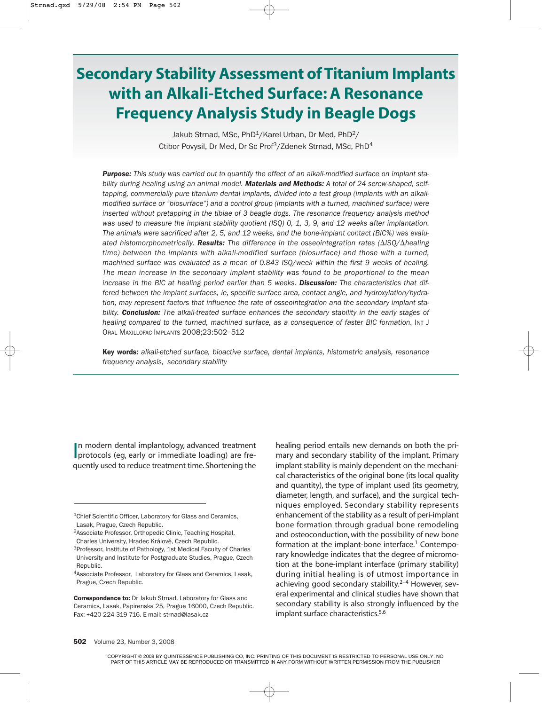# **Secondary Stability Assessment of Titanium Implants with an Alkali-Etched Surface: A Resonance Frequency Analysis Study in Beagle Dogs**

Jakub Strnad, MSc, PhD<sup>1</sup>/Karel Urban, Dr Med, PhD<sup>2</sup>/ Ctibor Povysil, Dr Med, Dr Sc Prof<sup>3</sup>/Zdenek Strnad, MSc, PhD<sup>4</sup>

*Purpose: This study was carried out to quantify the effect of an alkali-modified surface on implant stability during healing using an animal model. Materials and Methods: A total of 24 screw-shaped, selftapping, commercially pure titanium dental implants, divided into a test group (implants with an alkalimodified surface or "biosurface") and a control group (implants with a turned, machined surface) were inserted without pretapping in the tibiae of 3 beagle dogs. The resonance frequency analysis method was used to measure the implant stability quotient (ISQ) 0, 1, 3, 9, and 12 weeks after implantation. The animals were sacrificed after 2, 5, and 12 weeks, and the bone-implant contact (BIC%) was evaluated histomorphometrically. Results: The difference in the osseointegration rates (ISQ/healing time) between the implants with alkali-modified surface (biosurface) and those with a turned, machined surface was evaluated as a mean of 0.843 ISQ/week within the first 9 weeks of healing. The mean increase in the secondary implant stability was found to be proportional to the mean increase in the BIC at healing period earlier than 5 weeks. Discussion: The characteristics that differed between the implant surfaces, ie, specific surface area, contact angle, and hydroxylation/hydration, may represent factors that influence the rate of osseointegration and the secondary implant stability. Conclusion: The alkali-treated surface enhances the secondary stability in the early stages of healing compared to the turned, machined surface, as a consequence of faster BIC formation.* INT J ORAL MAXILLOFAC IMPLANTS 2008;23:502–512

Key words: *alkali-etched surface, bioactive surface, dental implants, histometric analysis, resonance frequency analysis, secondary stability*

In modern dental implantology, advanced treatment<br>protocols (eg, early or immediate loading) are fren modern dental implantology, advanced treatment quently used to reduce treatment time. Shortening the

healing period entails new demands on both the primary and secondary stability of the implant. Primary implant stability is mainly dependent on the mechanical characteristics of the original bone (its local quality and quantity), the type of implant used (its geometry, diameter, length, and surface), and the surgical techniques employed. Secondary stability represents enhancement of the stability as a result of peri-implant bone formation through gradual bone remodeling and osteoconduction, with the possibility of new bone formation at the implant-bone interface.<sup>1</sup> Contemporary knowledge indicates that the degree of micromotion at the bone-implant interface (primary stability) during initial healing is of utmost importance in achieving good secondary stability.<sup>2-4</sup> However, several experimental and clinical studies have shown that secondary stability is also strongly influenced by the implant surface characteristics.<sup>5,6</sup>

<sup>&</sup>lt;sup>1</sup>Chief Scientific Officer, Laboratory for Glass and Ceramics, Lasak, Prague, Czech Republic.

<sup>2</sup>Associate Professor, Orthopedic Clinic, Teaching Hospital, Charles University, Hradec Králové, Czech Republic.

<sup>3</sup>Professor, Institute of Pathology, 1st Medical Faculty of Charles University and Institute for Postgraduate Studies, Prague, Czech Republic.

<sup>4</sup>Associate Professor, Laboratory for Glass and Ceramics, Lasak, Prague, Czech Republic.

Correspondence to: Dr Jakub Strnad, Laboratory for Glass and Ceramics, Lasak, Papirenska 25, Prague 16000, Czech Republic. Fax: +420 224 319 716. E-mail: strnad@lasak.cz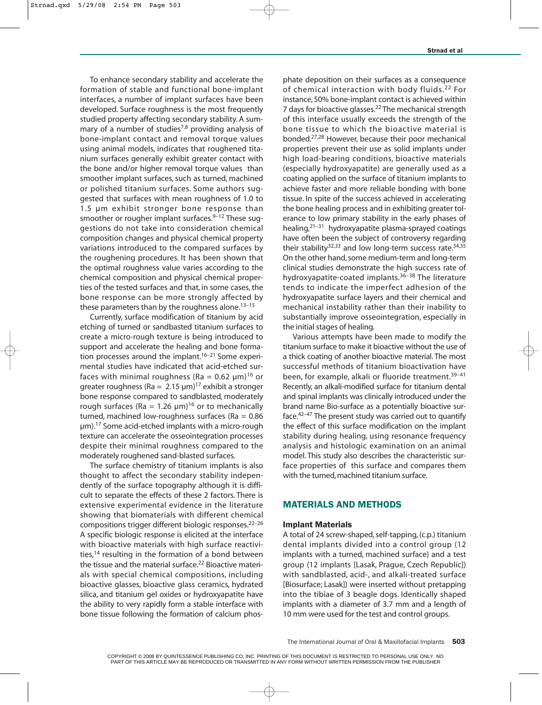To enhance secondary stability and accelerate the formation of stable and functional bone-implant interfaces, a number of implant surfaces have been developed. Surface roughness is the most frequently studied property affecting secondary stability. A summary of a number of studies<sup>7,8</sup> providing analysis of bone-implant contact and removal torque values using animal models, indicates that roughened titanium surfaces generally exhibit greater contact with the bone and/or higher removal torque values than smoother implant surfaces, such as turned, machined or polished titanium surfaces. Some authors suggested that surfaces with mean roughness of 1.0 to 1.5 µm exhibit stronger bone response than smoother or rougher implant surfaces. $9-12$  These suggestions do not take into consideration chemical composition changes and physical chemical property variations introduced to the compared surfaces by the roughening procedures. It has been shown that the optimal roughness value varies according to the chemical composition and physical chemical properties of the tested surfaces and that, in some cases, the bone response can be more strongly affected by these parameters than by the roughness alone. $13-15$ 

Currently, surface modification of titanium by acid etching of turned or sandbasted titanium surfaces to create a micro-rough texture is being introduced to support and accelerate the healing and bone formation processes around the implant.<sup>16–21</sup> Some experimental studies have indicated that acid-etched surfaces with minimal roughness (Ra =  $0.62 \mu m$ )<sup>16</sup> or greater roughness (Ra =  $2.15 \text{ }\mu\text{m}$ )<sup>17</sup> exhibit a stronger bone response compared to sandblasted, moderately rough surfaces (Ra = 1.26  $\mu$ m)<sup>16</sup> or to mechanically turned, machined low-roughness surfaces ( $Ra = 0.86$ ) µm).17 Some acid-etched implants with a micro-rough texture can accelerate the osseointegration processes despite their minimal roughness compared to the moderately roughened sand-blasted surfaces.

The surface chemistry of titanium implants is also thought to affect the secondary stability independently of the surface topography although it is difficult to separate the effects of these 2 factors. There is extensive experimental evidence in the literature showing that biomaterials with different chemical compositions trigger different biologic responses.22–26 A specific biologic response is elicited at the interface with bioactive materials with high surface reactivities,<sup>14</sup> resulting in the formation of a bond between the tissue and the material surface.<sup>22</sup> Bioactive materials with special chemical compositions, including bioactive glasses, bioactive glass ceramics, hydrated silica, and titanium gel oxides or hydroxyapatite have the ability to very rapidly form a stable interface with bone tissue following the formation of calcium phosphate deposition on their surfaces as a consequence of chemical interaction with body fluids.<sup>22</sup> For instance, 50% bone-implant contact is achieved within 7 days for bioactive glasses.<sup>22</sup> The mechanical strength of this interface usually exceeds the strength of the bone tissue to which the bioactive material is bonded.27,28 However, because their poor mechanical properties prevent their use as solid implants under high load-bearing conditions, bioactive materials (especially hydroxyapatite) are generally used as a coating applied on the surface of titanium implants to achieve faster and more reliable bonding with bone tissue. In spite of the success achieved in accelerating the bone healing process and in exhibiting greater tolerance to low primary stability in the early phases of healing, $2^{1-31}$  hydroxyapatite plasma-sprayed coatings have often been the subject of controversy regarding their stability $32,33$  and low long-term success rate. $34,35$ On the other hand, some medium-term and long-term clinical studies demonstrate the high success rate of hydroxyapatite-coated implants.<sup>36–38</sup> The literature tends to indicate the imperfect adhesion of the hydroxyapatite surface layers and their chemical and mechanical instability rather than their inability to substantially improve osseointegration, especially in the initial stages of healing.

Various attempts have been made to modify the titanium surface to make it bioactive without the use of a thick coating of another bioactive material. The most successful methods of titanium bioactivation have been, for example, alkali or fluoride treatment.<sup>39-41</sup> Recently, an alkali-modified surface for titanium dental and spinal implants was clinically introduced under the brand name Bio-surface as a potentially bioactive surface.42–47 The present study was carried out to quantify the effect of this surface modification on the implant stability during healing, using resonance frequency analysis and histologic examination on an animal model. This study also describes the characteristic surface properties of this surface and compares them with the turned, machined titanium surface.

## MATERIALS AND METHODS

#### Implant Materials

A total of 24 screw-shaped, self-tapping, (c.p.) titanium dental implants divided into a control group (12 implants with a turned, machined surface) and a test group (12 implants [Lasak, Prague, Czech Republic]) with sandblasted, acid-, and alkali-treated surface [Biosurface; Lasak]) were inserted without pretapping into the tibiae of 3 beagle dogs. Identically shaped implants with a diameter of 3.7 mm and a length of 10 mm were used for the test and control groups.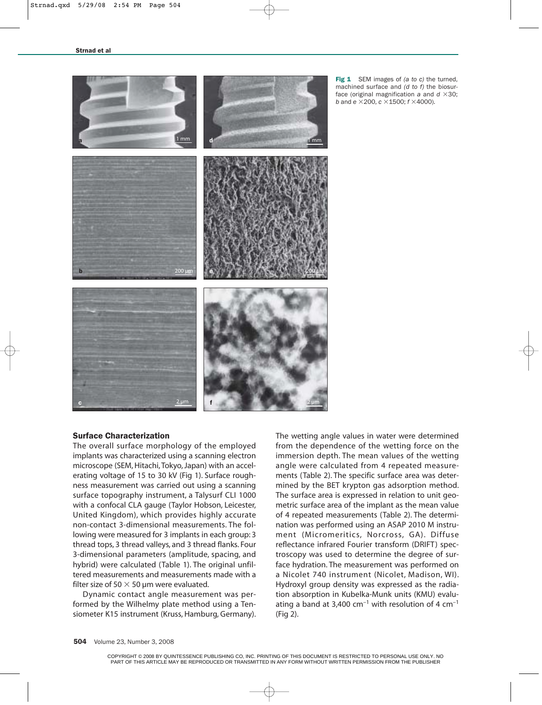

Fig 1 SEM images of *(a to c)* the turned, machined surface and *(d to f)* the biosurface (original magnification  $a$  and  $d \times 30$ ; *b* and  $e \times 200$ ,  $c \times 1500$ ;  $f \times 4000$ ).

### Surface Characterization

The overall surface morphology of the employed implants was characterized using a scanning electron microscope (SEM, Hitachi, Tokyo, Japan) with an accelerating voltage of 15 to 30 kV (Fig 1). Surface roughness measurement was carried out using a scanning surface topography instrument, a Talysurf CLI 1000 with a confocal CLA gauge (Taylor Hobson, Leicester, United Kingdom), which provides highly accurate non-contact 3-dimensional measurements. The following were measured for 3 implants in each group: 3 thread tops, 3 thread valleys, and 3 thread flanks. Four 3-dimensional parameters (amplitude, spacing, and hybrid) were calculated (Table 1). The original unfiltered measurements and measurements made with a filter size of 50  $\times$  50 µm were evaluated.

Dynamic contact angle measurement was performed by the Wilhelmy plate method using a Tensiometer K15 instrument (Kruss, Hamburg, Germany). The wetting angle values in water were determined from the dependence of the wetting force on the immersion depth. The mean values of the wetting angle were calculated from 4 repeated measurements (Table 2). The specific surface area was determined by the BET krypton gas adsorption method. The surface area is expressed in relation to unit geometric surface area of the implant as the mean value of 4 repeated measurements (Table 2). The determination was performed using an ASAP 2010 M instrument (Micromeritics, Norcross, GA). Diffuse reflectance infrared Fourier transform (DRIFT) spectroscopy was used to determine the degree of surface hydration. The measurement was performed on a Nicolet 740 instrument (Nicolet, Madison, WI). Hydroxyl group density was expressed as the radiation absorption in Kubelka-Munk units (KMU) evaluating a band at 3,400  $cm^{-1}$  with resolution of 4  $cm^{-1}$ (Fig 2).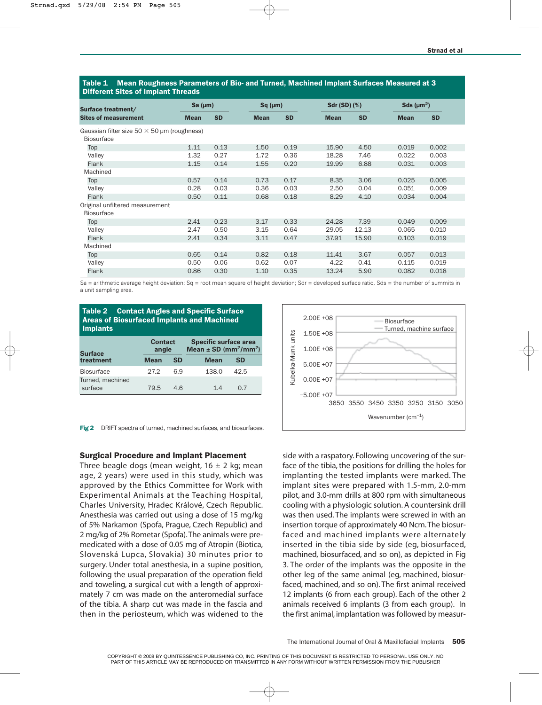Table 1 Mean Roughness Parameters of Bio- and Turned, Machined Implant Surfaces Measured at 3 **Cites of Implant Threads** 

| <b>PHIVIOIII 91100 01 MIPIANI 11110440</b>         |              |           |             |               |             |                     |             |                              |  |
|----------------------------------------------------|--------------|-----------|-------------|---------------|-------------|---------------------|-------------|------------------------------|--|
| Surface treatment/                                 | Sa $(\mu m)$ |           |             | $Sq$ ( $µm$ ) |             | <b>Sdr (SD) (%)</b> |             | Sds ( $\mu$ m <sup>2</sup> ) |  |
| <b>Sites of measurement</b>                        | <b>Mean</b>  | <b>SD</b> | <b>Mean</b> | <b>SD</b>     | <b>Mean</b> | <b>SD</b>           | <b>Mean</b> | <b>SD</b>                    |  |
| Gaussian filter size $50 \times 50$ µm (roughness) |              |           |             |               |             |                     |             |                              |  |
| <b>Biosurface</b>                                  |              |           |             |               |             |                     |             |                              |  |
| Top                                                | 1.11         | 0.13      | 1.50        | 0.19          | 15.90       | 4.50                | 0.019       | 0.002                        |  |
| Valley                                             | 1.32         | 0.27      | 1.72        | 0.36          | 18.28       | 7.46                | 0.022       | 0.003                        |  |
| Flank                                              | 1.15         | 0.14      | 1.55        | 0.20          | 19.99       | 6.88                | 0.031       | 0.003                        |  |
| Machined                                           |              |           |             |               |             |                     |             |                              |  |
| Top                                                | 0.57         | 0.14      | 0.73        | 0.17          | 8.35        | 3.06                | 0.025       | 0.005                        |  |
| Valley                                             | 0.28         | 0.03      | 0.36        | 0.03          | 2.50        | 0.04                | 0.051       | 0.009                        |  |
| Flank                                              | 0.50         | 0.11      | 0.68        | 0.18          | 8.29        | 4.10                | 0.034       | 0.004                        |  |
| Original unfiltered measurement                    |              |           |             |               |             |                     |             |                              |  |
| <b>Biosurface</b>                                  |              |           |             |               |             |                     |             |                              |  |
| Top                                                | 2.41         | 0.23      | 3.17        | 0.33          | 24.28       | 7.39                | 0.049       | 0.009                        |  |
| Valley                                             | 2.47         | 0.50      | 3.15        | 0.64          | 29.05       | 12.13               | 0.065       | 0.010                        |  |
| Flank                                              | 2.41         | 0.34      | 3.11        | 0.47          | 37.91       | 15.90               | 0.103       | 0.019                        |  |
| Machined                                           |              |           |             |               |             |                     |             |                              |  |
| Top                                                | 0.65         | 0.14      | 0.82        | 0.18          | 11.41       | 3.67                | 0.057       | 0.013                        |  |
| Valley                                             | 0.50         | 0.06      | 0.62        | 0.07          | 4.22        | 0.41                | 0.115       | 0.019                        |  |
| Flank                                              | 0.86         | 0.30      | 1.10        | 0.35          | 13.24       | 5.90                | 0.082       | 0.018                        |  |

Sa = arithmetic average height deviation; Sq = root mean square of height deviation; Sdr = developed surface ratio, Sds = the number of summits in a unit sampling area.

| <b>Contact Angles and Specific Surface</b><br>Table 2<br><b>Areas of Biosurfaced Implants and Machined</b><br><b>Implants</b> |                         |     |                                                                                   |      |  |  |  |  |  |  |
|-------------------------------------------------------------------------------------------------------------------------------|-------------------------|-----|-----------------------------------------------------------------------------------|------|--|--|--|--|--|--|
| <b>Surface</b>                                                                                                                | <b>Contact</b><br>angle |     | <b>Specific surface area</b><br>Mean $\pm$ SD (mm <sup>2</sup> /mm <sup>2</sup> ) |      |  |  |  |  |  |  |
| treatment                                                                                                                     | <b>Mean</b>             | SD  | <b>Mean</b>                                                                       | SD   |  |  |  |  |  |  |
| <b>Biosurface</b><br>Turned, machined                                                                                         | 27.2                    | 6.9 | 138.0                                                                             | 42.5 |  |  |  |  |  |  |
| surface                                                                                                                       | 79.5                    | 4 R | 14                                                                                | 0 7  |  |  |  |  |  |  |

Fig 2 DRIFT spectra of turned, machined surfaces, and biosurfaces.

#### Surgical Procedure and Implant Placement

Three beagle dogs (mean weight,  $16 \pm 2$  kg; mean age, 2 years) were used in this study, which was approved by the Ethics Committee for Work with Experimental Animals at the Teaching Hospital, Charles University, Hradec Králové, Czech Republic. Anesthesia was carried out using a dose of 15 mg/kg of 5% Narkamon (Spofa, Prague, Czech Republic) and 2 mg/kg of 2% Rometar (Spofa).The animals were premedicated with a dose of 0.05 mg of Atropin (Biotica, Slovenská Lupca, Slovakia) 30 minutes prior to surgery. Under total anesthesia, in a supine position, following the usual preparation of the operation field and toweling, a surgical cut with a length of approximately 7 cm was made on the anteromedial surface of the tibia. A sharp cut was made in the fascia and then in the periosteum, which was widened to the



side with a raspatory. Following uncovering of the surface of the tibia, the positions for drilling the holes for implanting the tested implants were marked. The implant sites were prepared with 1.5-mm, 2.0-mm pilot, and 3.0-mm drills at 800 rpm with simultaneous cooling with a physiologic solution. A countersink drill was then used. The implants were screwed in with an insertion torque of approximately 40 Ncm.The biosurfaced and machined implants were alternately inserted in the tibia side by side (eg, biosurfaced, machined, biosurfaced, and so on), as depicted in Fig 3. The order of the implants was the opposite in the other leg of the same animal (eg, machined, biosurfaced, machined, and so on). The first animal received 12 implants (6 from each group). Each of the other 2 animals received 6 implants (3 from each group). In the first animal, implantation was followed by measur-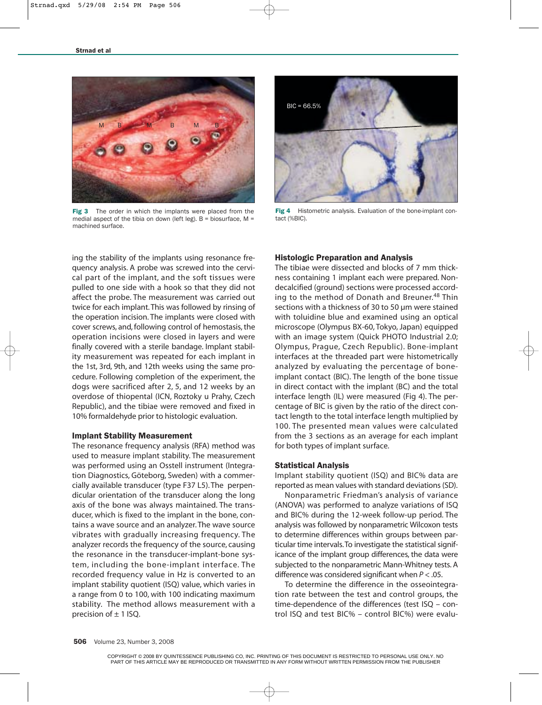

Fig 3 The order in which the implants were placed from the medial aspect of the tibia on down (left leg).  $B =$  biosurface, M = machined surface.



Fig 4 Histometric analysis. Evaluation of the bone-implant contact (%BIC).

ing the stability of the implants using resonance frequency analysis. A probe was screwed into the cervical part of the implant, and the soft tissues were pulled to one side with a hook so that they did not affect the probe. The measurement was carried out twice for each implant. This was followed by rinsing of the operation incision. The implants were closed with cover screws, and, following control of hemostasis, the operation incisions were closed in layers and were finally covered with a sterile bandage. Implant stability measurement was repeated for each implant in the 1st, 3rd, 9th, and 12th weeks using the same procedure. Following completion of the experiment, the dogs were sacrificed after 2, 5, and 12 weeks by an overdose of thiopental (ICN, Roztoky u Prahy, Czech Republic), and the tibiae were removed and fixed in 10% formaldehyde prior to histologic evaluation.

#### Implant Stability Measurement

The resonance frequency analysis (RFA) method was used to measure implant stability. The measurement was performed using an Osstell instrument (Integration Diagnostics, Göteborg, Sweden) with a commercially available transducer (type F37 L5). The perpendicular orientation of the transducer along the long axis of the bone was always maintained. The transducer, which is fixed to the implant in the bone, contains a wave source and an analyzer. The wave source vibrates with gradually increasing frequency. The analyzer records the frequency of the source, causing the resonance in the transducer-implant-bone system, including the bone-implant interface. The recorded frequency value in Hz is converted to an implant stability quotient (ISQ) value, which varies in a range from 0 to 100, with 100 indicating maximum stability. The method allows measurement with a precision of  $\pm$  1 ISQ.

#### Histologic Preparation and Analysis

The tibiae were dissected and blocks of 7 mm thickness containing 1 implant each were prepared. Nondecalcified (ground) sections were processed according to the method of Donath and Breuner.<sup>48</sup> Thin sections with a thickness of 30 to 50 µm were stained with toluidine blue and examined using an optical microscope (Olympus BX-60, Tokyo, Japan) equipped with an image system (Quick PHOTO Industrial 2.0; Olympus, Prague, Czech Republic). Bone-implant interfaces at the threaded part were histometrically analyzed by evaluating the percentage of boneimplant contact (BIC). The length of the bone tissue in direct contact with the implant (BC) and the total interface length (IL) were measured (Fig 4). The percentage of BIC is given by the ratio of the direct contact length to the total interface length multiplied by 100. The presented mean values were calculated from the 3 sections as an average for each implant for both types of implant surface.

#### Statistical Analysis

Implant stability quotient (ISQ) and BIC% data are reported as mean values with standard deviations (SD).

Nonparametric Friedman's analysis of variance (ANOVA) was performed to analyze variations of ISQ and BIC% during the 12-week follow-up period. The analysis was followed by nonparametric Wilcoxon tests to determine differences within groups between particular time intervals.To investigate the statistical significance of the implant group differences, the data were subjected to the nonparametric Mann-Whitney tests. A difference was considered significant when *P* < .05.

To determine the difference in the osseointegration rate between the test and control groups, the time-dependence of the differences (test ISQ – control ISQ and test BIC% – control BIC%) were evalu-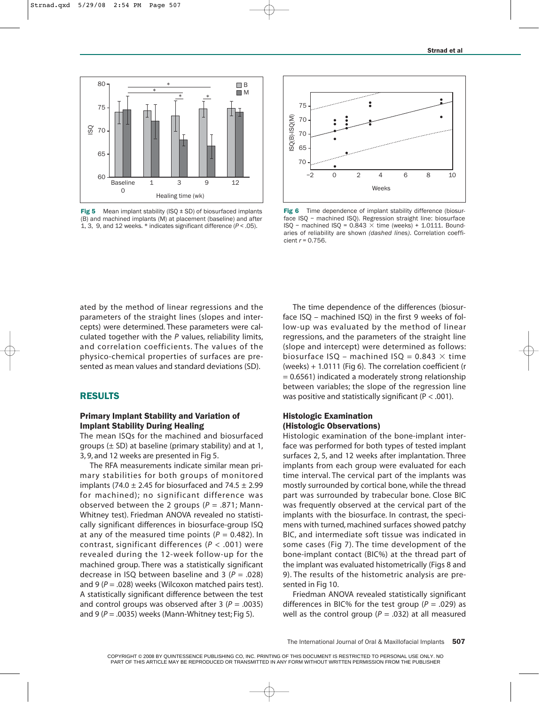

**Fig 5** Mean implant stability (ISQ  $\pm$  SD) of biosurfaced implants (B) and machined implants (M) at placement (baseline) and after 1, 3, 9, and 12 weeks. \* indicates significant difference (*P* < .05).



Fig 6 Time dependence of implant stability difference (biosurface ISQ – machined ISQ). Regression straight line: biosurface  $ISQ$  – machined  $ISQ = 0.843 \times$  time (weeks) + 1.0111. Boundaries of reliability are shown *(dashed lines)*. Correlation coefficient *r* = 0.756.

ated by the method of linear regressions and the parameters of the straight lines (slopes and intercepts) were determined. These parameters were calculated together with the *P* values, reliability limits, and correlation coefficients. The values of the physico-chemical properties of surfaces are presented as mean values and standard deviations (SD).

## RESULTS

## Primary Implant Stability and Variation of Implant Stability During Healing

The mean ISQs for the machined and biosurfaced groups  $(\pm$  SD) at baseline (primary stability) and at 1, 3, 9, and 12 weeks are presented in Fig 5.

The RFA measurements indicate similar mean primary stabilities for both groups of monitored implants (74.0  $\pm$  2.45 for biosurfaced and 74.5  $\pm$  2.99 for machined); no significant difference was observed between the 2 groups (*P* = .871; Mann-Whitney test). Friedman ANOVA revealed no statistically significant differences in biosurface-group ISQ at any of the measured time points  $(P = 0.482)$ . In contrast, significant differences (*P* < .001) were revealed during the 12-week follow-up for the machined group. There was a statistically significant decrease in ISQ between baseline and 3 (*P* = .028) and 9 ( $P = .028$ ) weeks (Wilcoxon matched pairs test). A statistically significant difference between the test and control groups was observed after  $3 (P = .0035)$ and 9 ( $P = 0.0035$ ) weeks (Mann-Whitney test; Fig 5).

The time dependence of the differences (biosurface ISQ – machined ISQ) in the first 9 weeks of follow-up was evaluated by the method of linear regressions, and the parameters of the straight line (slope and intercept) were determined as follows: biosurface ISQ – machined ISQ = 0.843  $\times$  time (weeks) + 1.0111 (Fig 6). The correlation coefficient (r  $= 0.6561$ ) indicated a moderately strong relationship between variables; the slope of the regression line was positive and statistically significant ( $P < .001$ ).

### Histologic Examination (Histologic Observations)

Histologic examination of the bone-implant interface was performed for both types of tested implant surfaces 2, 5, and 12 weeks after implantation. Three implants from each group were evaluated for each time interval. The cervical part of the implants was mostly surrounded by cortical bone, while the thread part was surrounded by trabecular bone. Close BIC was frequently observed at the cervical part of the implants with the biosurface. In contrast, the specimens with turned, machined surfaces showed patchy BIC, and intermediate soft tissue was indicated in some cases (Fig 7). The time development of the bone-implant contact (BIC%) at the thread part of the implant was evaluated histometrically (Figs 8 and 9). The results of the histometric analysis are presented in Fig 10.

Friedman ANOVA revealed statistically significant differences in BIC% for the test group ( $P = .029$ ) as well as the control group ( $P = .032$ ) at all measured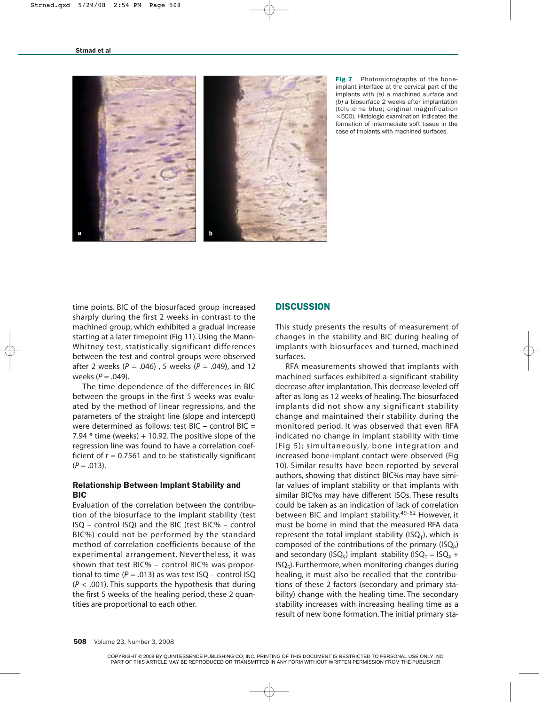

Fig 7 Photomicrographs of the boneimplant interface at the cervical part of the implants with *(a)* a machined surface and *(b)* a biosurface 2 weeks after implantation (toluidine blue; original magnification  $\times$  500). Histologic examination indicated the formation of intermediate soft tissue in the case of implants with machined surfaces.

time points. BIC of the biosurfaced group increased sharply during the first 2 weeks in contrast to the machined group, which exhibited a gradual increase starting at a later timepoint (Fig 11). Using the Mann-Whitney test, statistically significant differences between the test and control groups were observed after 2 weeks (*P* = .046) , 5 weeks (*P* = .049), and 12 weeks (*P* = .049).

The time dependence of the differences in BIC between the groups in the first 5 weeks was evaluated by the method of linear regressions, and the parameters of the straight line (slope and intercept) were determined as follows: test  $BIC -$  control  $BIC =$ 7.94  $*$  time (weeks) + 10.92. The positive slope of the regression line was found to have a correlation coefficient of  $r = 0.7561$  and to be statistically significant  $(P = .013)$ .

## Relationship Between Implant Stability and **RIC**

Evaluation of the correlation between the contribution of the biosurface to the implant stability (test ISQ – control ISQ) and the BIC (test BIC% – control BIC%) could not be performed by the standard method of correlation coefficients because of the experimental arrangement. Nevertheless, it was shown that test BIC% – control BIC% was proportional to time  $(P = .013)$  as was test  $ISO -$  control ISQ (*P* < .001). This supports the hypothesis that during the first 5 weeks of the healing period, these 2 quantities are proportional to each other.

## **DISCUSSION**

This study presents the results of measurement of changes in the stability and BIC during healing of implants with biosurfaces and turned, machined surfaces.

RFA measurements showed that implants with machined surfaces exhibited a significant stability decrease after implantation. This decrease leveled off after as long as 12 weeks of healing. The biosurfaced implants did not show any significant stability change and maintained their stability during the monitored period. It was observed that even RFA indicated no change in implant stability with time (Fig 5); simultaneously, bone integration and increased bone-implant contact were observed (Fig 10). Similar results have been reported by several authors, showing that distinct BIC%s may have similar values of implant stability or that implants with similar BIC%s may have different ISQs. These results could be taken as an indication of lack of correlation between BIC and implant stability.<sup>49-52</sup> However, it must be borne in mind that the measured RFA data represent the total implant stability ( $ISQ<sub>T</sub>$ ), which is composed of the contributions of the primary  $(ISQ<sub>p</sub>)$ and secondary (ISQ<sub>s</sub>) implant stability (ISQ<sub>T</sub> = ISQ<sub>P</sub> +  $ISO<sub>s</sub>$ ). Furthermore, when monitoring changes during healing, it must also be recalled that the contributions of these 2 factors (secondary and primary stability) change with the healing time. The secondary stability increases with increasing healing time as a result of new bone formation. The initial primary sta-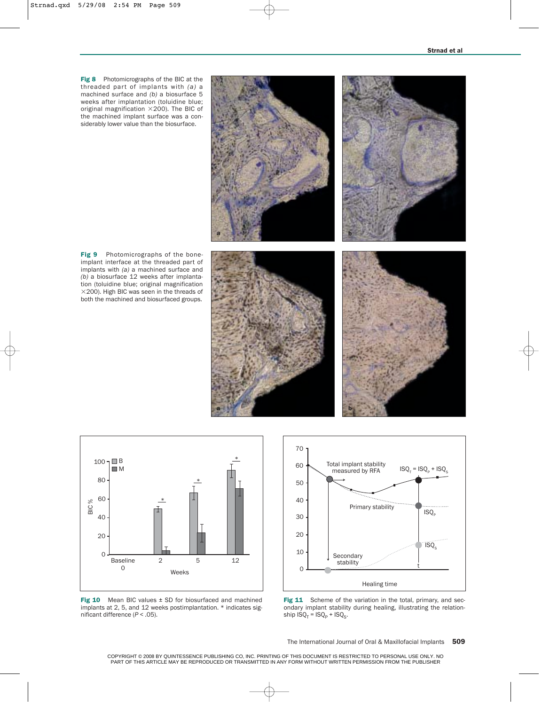Fig 8 Photomicrographs of the BIC at the threaded part of implants with *(a)* a machined surface and *(b)* a biosurface 5 weeks after implantation (toluidine blue; original magnification  $\times$  200). The BIC of the machined implant surface was a considerably lower value than the biosurface.

Fig 9 Photomicrographs of the boneimplant interface at the threaded part of implants with *(a)* a machined surface and *(b)* a biosurface 12 weeks after implantation (toluidine blue; original magnification  $\times$ 200). High BIC was seen in the threads of both the machined and biosurfaced groups.









Fig  $10$  Mean BIC values  $\pm$  SD for biosurfaced and machined implants at 2, 5, and 12 weeks postimplantation. \* indicates significant difference (*P* < .05).



Fig 11 Scheme of the variation in the total, primary, and secondary implant stability during healing, illustrating the relationship  $ISQ_T = ISQ_P + ISQ_S$ .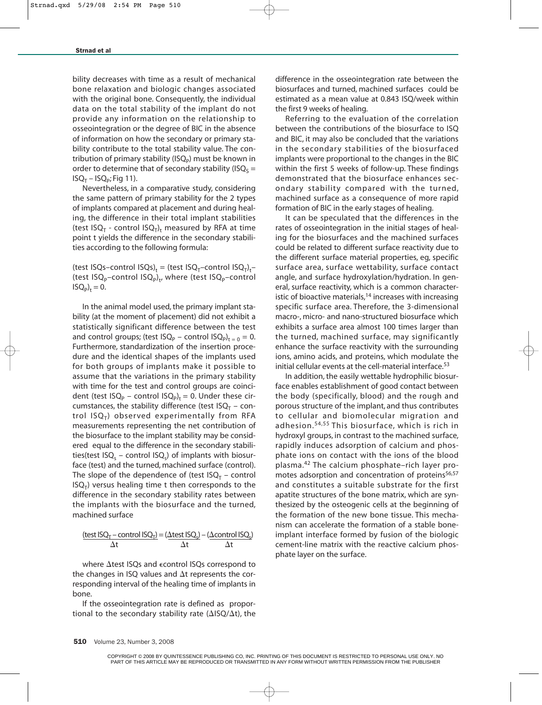bility decreases with time as a result of mechanical bone relaxation and biologic changes associated with the original bone. Consequently, the individual data on the total stability of the implant do not provide any information on the relationship to osseointegration or the degree of BIC in the absence of information on how the secondary or primary stability contribute to the total stability value. The contribution of primary stability ( $\text{ISQ}_p$ ) must be known in order to determine that of secondary stability (ISQ<sub>S</sub> =  $ISQ_T - ISQ_p; Fig 11$ ).

Nevertheless, in a comparative study, considering the same pattern of primary stability for the 2 types of implants compared at placement and during healing, the difference in their total implant stabilities (test ISQ<sub>T</sub> - control ISQ<sub>T</sub>)<sub>t</sub> measured by RFA at time point t yields the difference in the secondary stabilities according to the following formula:

(test ISQs–control ISQs)<sub>t</sub> = (test ISQ<sub>T</sub>–control ISQ<sub>T</sub>)<sub>t</sub>– (test ISQ<sub>p</sub>-control ISQ<sub>p</sub>)<sub>t</sub>, where (test ISQ<sub>p</sub>-control  $ISO_{P}$ <sub>t</sub> = 0.

In the animal model used, the primary implant stability (at the moment of placement) did not exhibit a statistically significant difference between the test and control groups; (test  $ISQ_p$  – control  $ISQ_p$ )<sub>t = 0</sub> = 0. Furthermore, standardization of the insertion procedure and the identical shapes of the implants used for both groups of implants make it possible to assume that the variations in the primary stability with time for the test and control groups are coincident (test ISQ<sub>P</sub> – control ISQ<sub>P</sub>)<sub>t</sub> = 0. Under these circumstances, the stability difference (test  $ISQ_T - con$ trol  $ISO<sub>T</sub>$ ) observed experimentally from RFA measurements representing the net contribution of the biosurface to the implant stability may be considered equal to the difference in the secondary stabilities(test ISQ<sub>s</sub> – control ISQ<sub>s</sub>) of implants with biosurface (test) and the turned, machined surface (control). The slope of the dependence of (test  $ISQ_T$  – control  $ISQ<sub>T</sub>$ ) versus healing time t then corresponds to the difference in the secondary stability rates between the implants with the biosurface and the turned, machined surface

$$
\frac{\text{(test ISO}_{T} - \text{control ISO}_{T})}{\Delta t} = \frac{(\Delta \text{test ISO}_{s}) - (\Delta \text{control ISO}_{s})}{\Delta t}
$$

where  $\Delta$ test ISQs and  $\epsilon$ control ISQs correspond to the changes in ISQ values and  $\Delta t$  represents the corresponding interval of the healing time of implants in bone.

If the osseointegration rate is defined as proportional to the secondary stability rate ( $\Delta$ ISQ/ $\Delta$ t), the difference in the osseointegration rate between the biosurfaces and turned, machined surfaces could be estimated as a mean value at 0.843 ISQ/week within the first 9 weeks of healing.

Referring to the evaluation of the correlation between the contributions of the biosurface to ISQ and BIC, it may also be concluded that the variations in the secondary stabilities of the biosurfaced implants were proportional to the changes in the BIC within the first 5 weeks of follow-up. These findings demonstrated that the biosurface enhances secondary stability compared with the turned, machined surface as a consequence of more rapid formation of BIC in the early stages of healing.

It can be speculated that the differences in the rates of osseointegration in the initial stages of healing for the biosurfaces and the machined surfaces could be related to different surface reactivity due to the different surface material properties, eg, specific surface area, surface wettability, surface contact angle, and surface hydroxylation/hydration. In general, surface reactivity, which is a common characteristic of bioactive materials, $14$  increases with increasing specific surface area. Therefore, the 3-dimensional macro-, micro- and nano-structured biosurface which exhibits a surface area almost 100 times larger than the turned, machined surface, may significantly enhance the surface reactivity with the surrounding ions, amino acids, and proteins, which modulate the initial cellular events at the cell-material interface.<sup>53</sup>

In addition, the easily wettable hydrophilic biosurface enables establishment of good contact between the body (specifically, blood) and the rough and porous structure of the implant, and thus contributes to cellular and biomolecular migration and adhesion.54,55 This biosurface, which is rich in hydroxyl groups, in contrast to the machined surface, rapidly induces adsorption of calcium and phosphate ions on contact with the ions of the blood plasma.42 The calcium phosphate–rich layer promotes adsorption and concentration of proteins<sup>56,57</sup> and constitutes a suitable substrate for the first apatite structures of the bone matrix, which are synthesized by the osteogenic cells at the beginning of the formation of the new bone tissue. This mechanism can accelerate the formation of a stable boneimplant interface formed by fusion of the biologic cement-line matrix with the reactive calcium phosphate layer on the surface.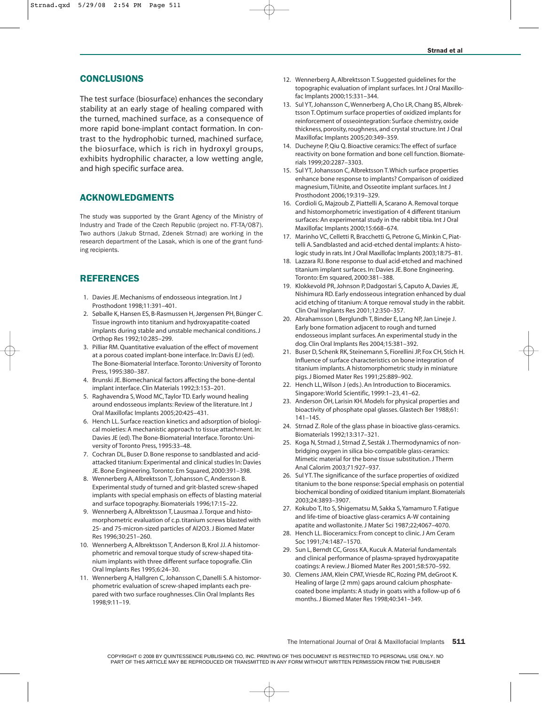## **CONCLUSIONS**

The test surface (biosurface) enhances the secondary stability at an early stage of healing compared with the turned, machined surface, as a consequence of more rapid bone-implant contact formation. In contrast to the hydrophobic turned, machined surface, the biosurface, which is rich in hydroxyl groups, exhibits hydrophilic character, a low wetting angle, and high specific surface area.

# ACKNOWLEDGMENTS

The study was supported by the Grant Agency of the Ministry of Industry and Trade of the Czech Republic (project no. FT-TA/087). Two authors (Jakub Strnad, Zdenek Strnad) are working in the research department of the Lasak, which is one of the grant funding recipients.

## **REFERENCES**

- 1. Davies JE. Mechanisms of endosseous integration. Int J Prosthodont 1998;11:391–401.
- 2. Søballe K, Hansen ES, B-Rasmussen H, Jørgensen PH, Bünger C. Tissue ingrowth into titanium and hydroxyapatite-coated implants during stable and unstable mechanical conditions. J Orthop Res 1992;10:285–299.
- 3. Pilliar RM. Quantitative evaluation of the effect of movement at a porous coated implant-bone interface. In: Davis EJ (ed). The Bone-Biomaterial Interface.Toronto: University of Toronto Press, 1995:380–387.
- 4. Brunski JE. Biomechanical factors affecting the bone-dental implant interface. Clin Materials 1992;3:153–201.
- 5. Raghavendra S, Wood MC, Taylor TD. Early wound healing around endosseous implants: Review of the literature. Int J Oral Maxillofac Implants 2005;20:425–431.
- 6. Hench LL. Surface reaction kinetics and adsorption of biological moieties: A mechanistic approach to tissue attachment. In: Davies JE (ed).The Bone-Biomaterial Interface.Toronto: University of Toronto Press, 1995:33–48.
- 7. Cochran DL, Buser D. Bone response to sandblasted and acidattacked titanium: Experimental and clinical studies In: Davies JE. Bone Engineering.Toronto: Em Squared, 2000:391–398.
- 8. Wennerberg A, Albrektsson T, Johansson C, Andersson B. Experimental study of turned and grit-blasted screw-shaped implants with special emphasis on effects of blasting material and surface topography. Biomaterials 1996;17:15–22.
- 9. Wennerberg A, Albrektsson T, Lausmaa J.Torque and histomorphometric evaluation of c.p. titanium screws blasted with 25- and 75-micron-sized particles of Al2O3. J Biomed Mater Res 1996;30:251–260.
- 10. Wennerberg A, Albrektsson T, Anderson B, Krol JJ. A histomorphometric and removal torque study of screw-shaped titanium implants with three different surface topografie. Clin Oral Implants Res 1995;6:24–30.
- 11. Wennerberg A, Hallgren C, Johansson C, Danelli S. A histomorphometric evaluation of screw-shaped implants each prepared with two surface roughnesses. Clin Oral Implants Res 1998;9:11–19.
- 12. Wennerberg A, Albrektsson T. Suggested guidelines for the topographic evaluation of implant surfaces. Int J Oral Maxillofac Implants 2000;15:331–344.
- 13. Sul YT, Johansson C, Wennerberg A, Cho LR, Chang BS, Albrektsson T. Optimum surface properties of oxidized implants for reinforcement of osseointegration: Surface chemistry, oxide thickness, porosity, roughness, and crystal structure. Int J Oral Maxillofac Implants 2005;20:349–359.
- 14. Ducheyne P, Qiu Q. Bioactive ceramics: The effect of surface reactivity on bone formation and bone cell function. Biomaterials 1999;20:2287–3303.
- 15. Sul YT, Johansson C, Albrektsson T. Which surface properties enhance bone response to implants? Comparison of oxidized magnesium, TiUnite, and Osseotite implant surfaces. Int J Prosthodont 2006;19:319–329.
- 16. Cordioli G, Majzoub Z, Piattelli A, Scarano A. Removal torque and histomorphometric investigation of 4 different titanium surfaces: An experimental study in the rabbit tibia. Int J Oral Maxillofac Implants 2000;15:668–674.
- 17. Marinho VC, Celletti R, Bracchetti G, Petrone G, Minkin C, Piattelli A. Sandblasted and acid-etched dental implants: A histologic study in rats. Int J Oral Maxillofac Implants 2003;18:75–81.
- 18. Lazzara RJ. Bone response to dual acid-etched and machined titanium implant surfaces. In: Davies JE. Bone Engineering. Toronto: Em squared, 2000:381–388.
- 19. Klokkevold PR, Johnson P, Dadgostari S, Caputo A, Davies JE, Nishimura RD. Early endosseous integration enhanced by dual acid etching of titanium: A torque removal study in the rabbit. Clin Oral Implants Res 2001;12:350–357.
- 20. Abrahamsson I, Berglundh T, Binder E, Lang NP, Jan Lineje J. Early bone formation adjacent to rough and turned endosseous implant surfaces. An experimental study in the dog. Clin Oral Implants Res 2004;15:381–392.
- 21. Buser D, Schenk RK, Steinemann S, Fiorellini JP, Fox CH, Stich H. Influence of surface characteristics on bone integration of titanium implants. A histomorphometric study in miniature pigs. J Biomed Mater Res 1991;25:889–902.
- 22. Hench LL, Wilson J (eds.). An Introduction to Bioceramics. Singapore: World Scientific, 1999:1–23, 41–62.
- 23. Anderson ÖH, Larisin KH. Models for physical properties and bioactivity of phosphate opal glasses. Glastech Ber 1988;61: 141–145.
- 24. Strnad Z. Role of the glass phase in bioactive glass-ceramics. Biomaterials 1992;13:317–321.
- 25. Koga N, Strnad J, Strnad Z, Sesták J.Thermodynamics of nonbridging oxygen in silica bio-compatible glass-ceramics: Mimetic material for the bone tissue substitution. J Therm Anal Calorim 2003;71:927–937.
- 26. Sul YT.The significance of the surface properties of oxidized titanium to the bone response: Special emphasis on potential biochemical bonding of oxidized titanium implant. Biomaterials 2003;24:3893–3907.
- 27. Kokubo T, Ito S, Shigematsu M, Sakka S,Yamamuro T. Fatigue and life-time of bioactive glass-ceramics A-W containing apatite and wollastonite. J Mater Sci 1987;22;4067–4070.
- 28. Hench LL. Bioceramics: From concept to clinic. J Am Ceram Soc 1991;74:1487–1570.
- 29. Sun L, Berndt CC, Gross KA, Kucuk A. Material fundamentals and clinical performance of plasma-sprayed hydroxyapatite coatings: A review. J Biomed Mater Res 2001;58:570–592.
- 30. Clemens JAM, Klein CPAT, Vriesde RC, Rozing PM, deGroot K. Healing of large (2 mm) gaps around calcium phosphatecoated bone implants: A study in goats with a follow-up of 6 months. J Biomed Mater Res 1998;40:341–349.